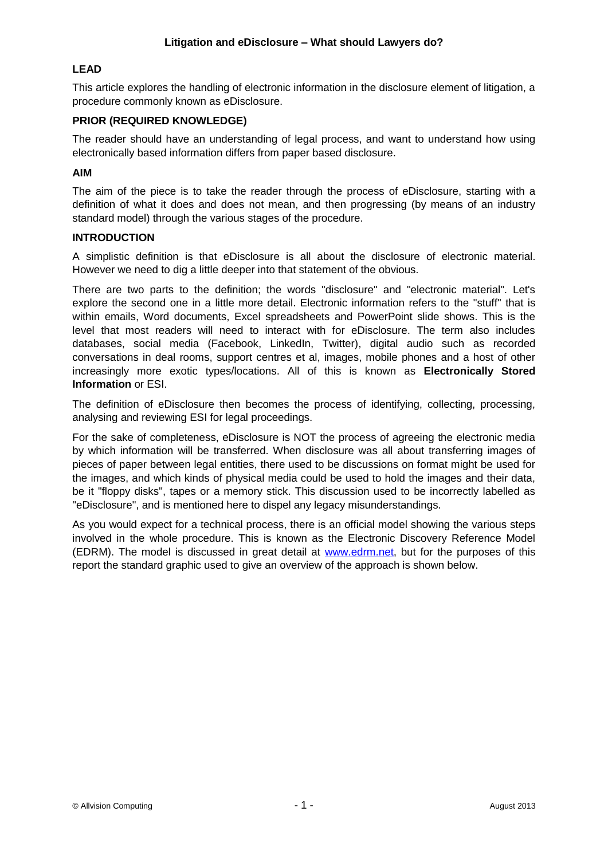## **LEAD**

This article explores the handling of electronic information in the disclosure element of litigation, a procedure commonly known as eDisclosure.

### **PRIOR (REQUIRED KNOWLEDGE)**

The reader should have an understanding of legal process, and want to understand how using electronically based information differs from paper based disclosure.

#### **AIM**

The aim of the piece is to take the reader through the process of eDisclosure, starting with a definition of what it does and does not mean, and then progressing (by means of an industry standard model) through the various stages of the procedure.

#### **INTRODUCTION**

A simplistic definition is that eDisclosure is all about the disclosure of electronic material. However we need to dig a little deeper into that statement of the obvious.

There are two parts to the definition; the words "disclosure" and "electronic material". Let's explore the second one in a little more detail. Electronic information refers to the "stuff" that is within emails, Word documents, Excel spreadsheets and PowerPoint slide shows. This is the level that most readers will need to interact with for eDisclosure. The term also includes databases, social media (Facebook, LinkedIn, Twitter), digital audio such as recorded conversations in deal rooms, support centres et al, images, mobile phones and a host of other increasingly more exotic types/locations. All of this is known as **Electronically Stored Information** or ESI.

The definition of eDisclosure then becomes the process of identifying, collecting, processing, analysing and reviewing ESI for legal proceedings.

For the sake of completeness, eDisclosure is NOT the process of agreeing the electronic media by which information will be transferred. When disclosure was all about transferring images of pieces of paper between legal entities, there used to be discussions on format might be used for the images, and which kinds of physical media could be used to hold the images and their data, be it "floppy disks", tapes or a memory stick. This discussion used to be incorrectly labelled as "eDisclosure", and is mentioned here to dispel any legacy misunderstandings.

As you would expect for a technical process, there is an official model showing the various steps involved in the whole procedure. This is known as the Electronic Discovery Reference Model (EDRM). The model is discussed in great detail at [www.edrm.net,](http://www.edrm.net/) but for the purposes of this report the standard graphic used to give an overview of the approach is shown below.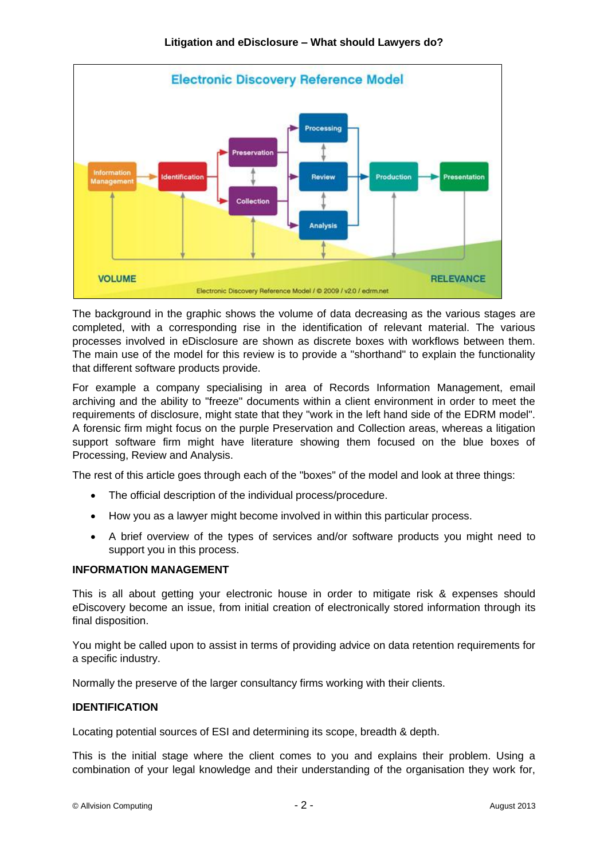

The background in the graphic shows the volume of data decreasing as the various stages are completed, with a corresponding rise in the identification of relevant material. The various processes involved in eDisclosure are shown as discrete boxes with workflows between them. The main use of the model for this review is to provide a "shorthand" to explain the functionality that different software products provide.

For example a company specialising in area of Records Information Management, email archiving and the ability to "freeze" documents within a client environment in order to meet the requirements of disclosure, might state that they "work in the left hand side of the EDRM model". A forensic firm might focus on the purple Preservation and Collection areas, whereas a litigation support software firm might have literature showing them focused on the blue boxes of Processing, Review and Analysis.

The rest of this article goes through each of the "boxes" of the model and look at three things:

- The official description of the individual process/procedure.
- How you as a lawyer might become involved in within this particular process.
- A brief overview of the types of services and/or software products you might need to support you in this process.

### **INFORMATION MANAGEMENT**

This is all about getting your electronic house in order to mitigate risk & expenses should eDiscovery become an issue, from initial creation of electronically stored information through its final disposition.

You might be called upon to assist in terms of providing advice on data retention requirements for a specific industry.

Normally the preserve of the larger consultancy firms working with their clients.

## **IDENTIFICATION**

Locating potential sources of ESI and determining its scope, breadth & depth.

This is the initial stage where the client comes to you and explains their problem. Using a combination of your legal knowledge and their understanding of the organisation they work for,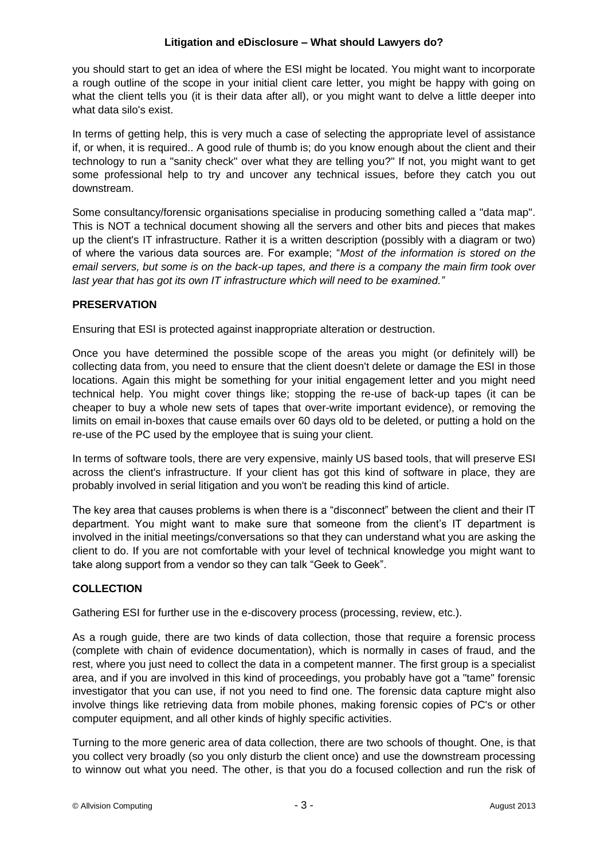### **Litigation and eDisclosure – What should Lawyers do?**

you should start to get an idea of where the ESI might be located. You might want to incorporate a rough outline of the scope in your initial client care letter, you might be happy with going on what the client tells you (it is their data after all), or you might want to delve a little deeper into what data silo's exist.

In terms of getting help, this is very much a case of selecting the appropriate level of assistance if, or when, it is required.. A good rule of thumb is; do you know enough about the client and their technology to run a "sanity check" over what they are telling you?" If not, you might want to get some professional help to try and uncover any technical issues, before they catch you out downstream.

Some consultancy/forensic organisations specialise in producing something called a "data map". This is NOT a technical document showing all the servers and other bits and pieces that makes up the client's IT infrastructure. Rather it is a written description (possibly with a diagram or two) of where the various data sources are. For example; "*Most of the information is stored on the email servers, but some is on the back-up tapes, and there is a company the main firm took over*  last year that has got its own IT infrastructure which will need to be examined."

# **PRESERVATION**

Ensuring that ESI is protected against inappropriate alteration or destruction.

Once you have determined the possible scope of the areas you might (or definitely will) be collecting data from, you need to ensure that the client doesn't delete or damage the ESI in those locations. Again this might be something for your initial engagement letter and you might need technical help. You might cover things like; stopping the re-use of back-up tapes (it can be cheaper to buy a whole new sets of tapes that over-write important evidence), or removing the limits on email in-boxes that cause emails over 60 days old to be deleted, or putting a hold on the re-use of the PC used by the employee that is suing your client.

In terms of software tools, there are very expensive, mainly US based tools, that will preserve ESI across the client's infrastructure. If your client has got this kind of software in place, they are probably involved in serial litigation and you won't be reading this kind of article.

The key area that causes problems is when there is a "disconnect" between the client and their IT department. You might want to make sure that someone from the client's IT department is involved in the initial meetings/conversations so that they can understand what you are asking the client to do. If you are not comfortable with your level of technical knowledge you might want to take along support from a vendor so they can talk "Geek to Geek".

# **COLLECTION**

Gathering ESI for further use in the e-discovery process (processing, review, etc.).

As a rough guide, there are two kinds of data collection, those that require a forensic process (complete with chain of evidence documentation), which is normally in cases of fraud, and the rest, where you just need to collect the data in a competent manner. The first group is a specialist area, and if you are involved in this kind of proceedings, you probably have got a "tame" forensic investigator that you can use, if not you need to find one. The forensic data capture might also involve things like retrieving data from mobile phones, making forensic copies of PC's or other computer equipment, and all other kinds of highly specific activities.

Turning to the more generic area of data collection, there are two schools of thought. One, is that you collect very broadly (so you only disturb the client once) and use the downstream processing to winnow out what you need. The other, is that you do a focused collection and run the risk of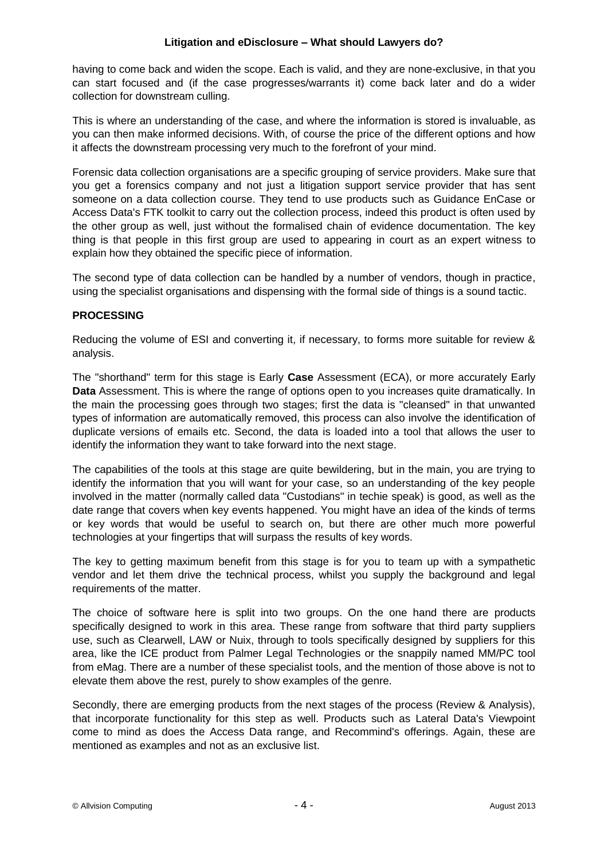having to come back and widen the scope. Each is valid, and they are none-exclusive, in that you can start focused and (if the case progresses/warrants it) come back later and do a wider collection for downstream culling.

This is where an understanding of the case, and where the information is stored is invaluable, as you can then make informed decisions. With, of course the price of the different options and how it affects the downstream processing very much to the forefront of your mind.

Forensic data collection organisations are a specific grouping of service providers. Make sure that you get a forensics company and not just a litigation support service provider that has sent someone on a data collection course. They tend to use products such as Guidance EnCase or Access Data's FTK toolkit to carry out the collection process, indeed this product is often used by the other group as well, just without the formalised chain of evidence documentation. The key thing is that people in this first group are used to appearing in court as an expert witness to explain how they obtained the specific piece of information.

The second type of data collection can be handled by a number of vendors, though in practice, using the specialist organisations and dispensing with the formal side of things is a sound tactic.

### **PROCESSING**

Reducing the volume of ESI and converting it, if necessary, to forms more suitable for review & analysis.

The "shorthand" term for this stage is Early **Case** Assessment (ECA), or more accurately Early **Data** Assessment. This is where the range of options open to you increases quite dramatically. In the main the processing goes through two stages; first the data is "cleansed" in that unwanted types of information are automatically removed, this process can also involve the identification of duplicate versions of emails etc. Second, the data is loaded into a tool that allows the user to identify the information they want to take forward into the next stage.

The capabilities of the tools at this stage are quite bewildering, but in the main, you are trying to identify the information that you will want for your case, so an understanding of the key people involved in the matter (normally called data "Custodians" in techie speak) is good, as well as the date range that covers when key events happened. You might have an idea of the kinds of terms or key words that would be useful to search on, but there are other much more powerful technologies at your fingertips that will surpass the results of key words.

The key to getting maximum benefit from this stage is for you to team up with a sympathetic vendor and let them drive the technical process, whilst you supply the background and legal requirements of the matter.

The choice of software here is split into two groups. On the one hand there are products specifically designed to work in this area. These range from software that third party suppliers use, such as Clearwell, LAW or Nuix, through to tools specifically designed by suppliers for this area, like the ICE product from Palmer Legal Technologies or the snappily named MM/PC tool from eMag. There are a number of these specialist tools, and the mention of those above is not to elevate them above the rest, purely to show examples of the genre.

Secondly, there are emerging products from the next stages of the process (Review & Analysis), that incorporate functionality for this step as well. Products such as Lateral Data's Viewpoint come to mind as does the Access Data range, and Recommind's offerings. Again, these are mentioned as examples and not as an exclusive list.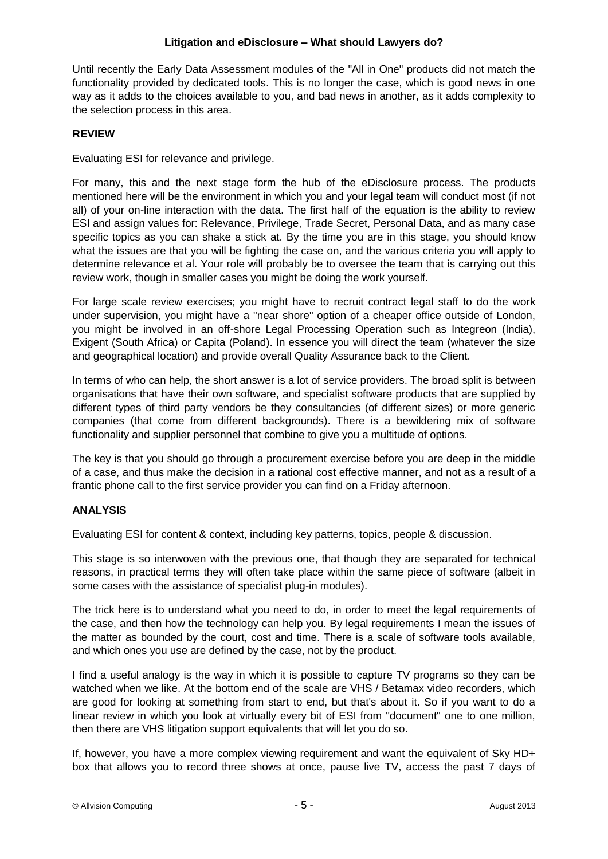Until recently the Early Data Assessment modules of the "All in One" products did not match the functionality provided by dedicated tools. This is no longer the case, which is good news in one way as it adds to the choices available to you, and bad news in another, as it adds complexity to the selection process in this area.

# **REVIEW**

Evaluating ESI for relevance and privilege.

For many, this and the next stage form the hub of the eDisclosure process. The products mentioned here will be the environment in which you and your legal team will conduct most (if not all) of your on-line interaction with the data. The first half of the equation is the ability to review ESI and assign values for: Relevance, Privilege, Trade Secret, Personal Data, and as many case specific topics as you can shake a stick at. By the time you are in this stage, you should know what the issues are that you will be fighting the case on, and the various criteria you will apply to determine relevance et al. Your role will probably be to oversee the team that is carrying out this review work, though in smaller cases you might be doing the work yourself.

For large scale review exercises; you might have to recruit contract legal staff to do the work under supervision, you might have a "near shore" option of a cheaper office outside of London, you might be involved in an off-shore Legal Processing Operation such as Integreon (India), Exigent (South Africa) or Capita (Poland). In essence you will direct the team (whatever the size and geographical location) and provide overall Quality Assurance back to the Client.

In terms of who can help, the short answer is a lot of service providers. The broad split is between organisations that have their own software, and specialist software products that are supplied by different types of third party vendors be they consultancies (of different sizes) or more generic companies (that come from different backgrounds). There is a bewildering mix of software functionality and supplier personnel that combine to give you a multitude of options.

The key is that you should go through a procurement exercise before you are deep in the middle of a case, and thus make the decision in a rational cost effective manner, and not as a result of a frantic phone call to the first service provider you can find on a Friday afternoon.

# **ANALYSIS**

Evaluating ESI for content & context, including key patterns, topics, people & discussion.

This stage is so interwoven with the previous one, that though they are separated for technical reasons, in practical terms they will often take place within the same piece of software (albeit in some cases with the assistance of specialist plug-in modules).

The trick here is to understand what you need to do, in order to meet the legal requirements of the case, and then how the technology can help you. By legal requirements I mean the issues of the matter as bounded by the court, cost and time. There is a scale of software tools available, and which ones you use are defined by the case, not by the product.

I find a useful analogy is the way in which it is possible to capture TV programs so they can be watched when we like. At the bottom end of the scale are VHS / Betamax video recorders, which are good for looking at something from start to end, but that's about it. So if you want to do a linear review in which you look at virtually every bit of ESI from "document" one to one million, then there are VHS litigation support equivalents that will let you do so.

If, however, you have a more complex viewing requirement and want the equivalent of Sky HD+ box that allows you to record three shows at once, pause live TV, access the past 7 days of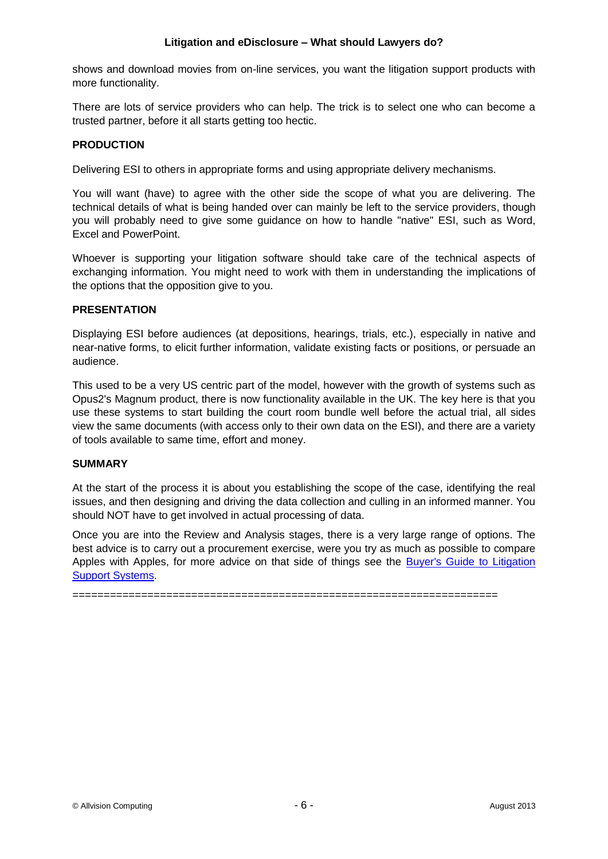### **Litigation and eDisclosure – What should Lawyers do?**

shows and download movies from on-line services, you want the litigation support products with more functionality.

There are lots of service providers who can help. The trick is to select one who can become a trusted partner, before it all starts getting too hectic.

## **PRODUCTION**

Delivering ESI to others in appropriate forms and using appropriate delivery mechanisms.

You will want (have) to agree with the other side the scope of what you are delivering. The technical details of what is being handed over can mainly be left to the service providers, though you will probably need to give some guidance on how to handle "native" ESI, such as Word, Excel and PowerPoint.

Whoever is supporting your litigation software should take care of the technical aspects of exchanging information. You might need to work with them in understanding the implications of the options that the opposition give to you.

### **PRESENTATION**

Displaying ESI before audiences (at depositions, hearings, trials, etc.), especially in native and near-native forms, to elicit further information, validate existing facts or positions, or persuade an audience.

This used to be a very US centric part of the model, however with the growth of systems such as Opus2's Magnum product, there is now functionality available in the UK. The key here is that you use these systems to start building the court room bundle well before the actual trial, all sides view the same documents (with access only to their own data on the ESI), and there are a variety of tools available to same time, effort and money.

### **SUMMARY**

At the start of the process it is about you establishing the scope of the case, identifying the real issues, and then designing and driving the data collection and culling in an informed manner. You should NOT have to get involved in actual processing of data.

Once you are into the Review and Analysis stages, there is a very large range of options. The best advice is to carry out a procurement exercise, were you try as much as possible to compare Apples with Apples, for more advice on that side of things see the **Buyer's Guide to Litigation** [Support Systems.](http://cloudbox.legaltechnology.com/eDisclosureSystemsBuyersGuideV1_2.pdf)

====================================================================